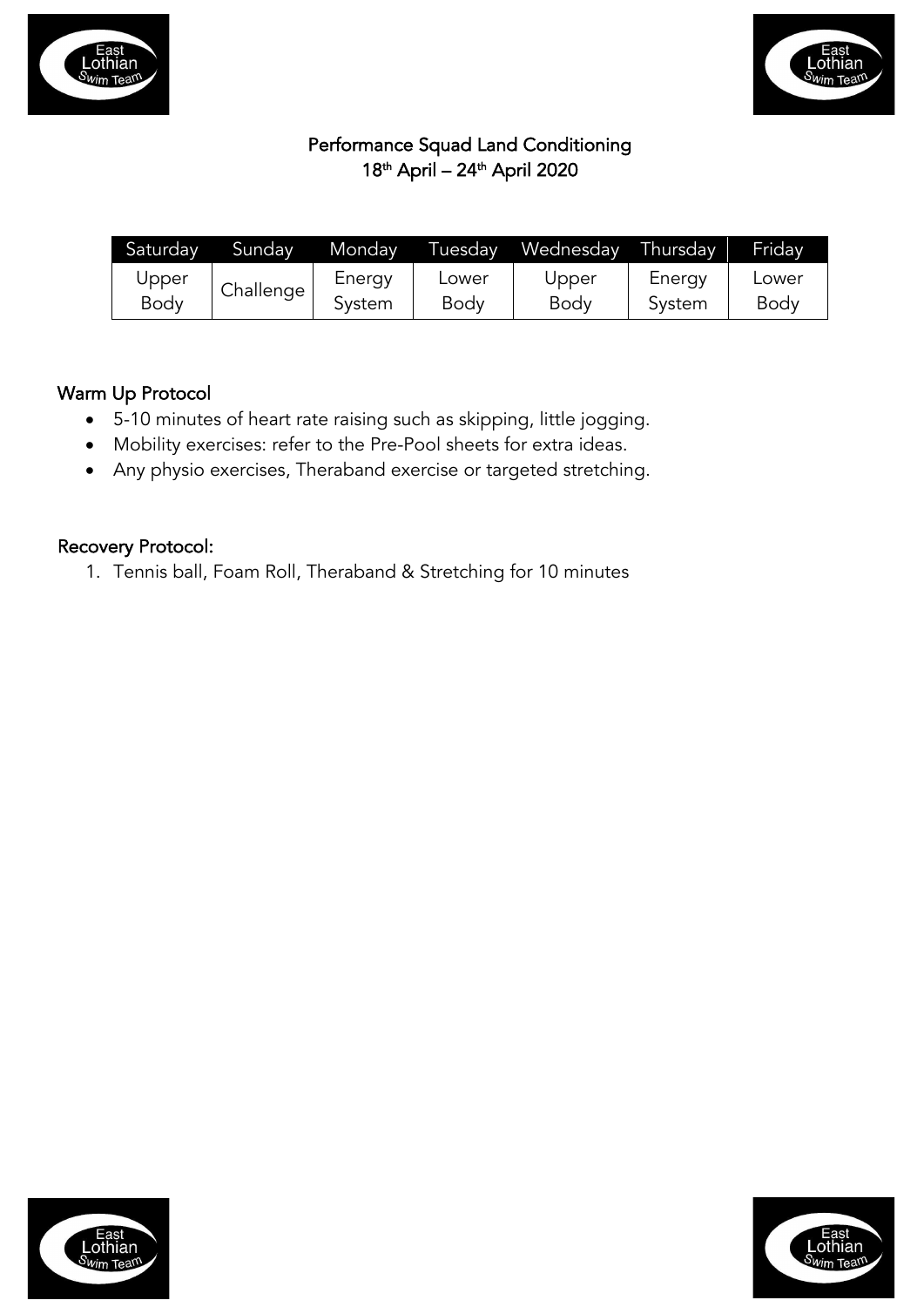



# Performance Squad Land Conditioning 18th April – 24th April 2020

| Saturday | Sundav    | Monday | Tuesday | Wednesday | Thursday | Fridav      |
|----------|-----------|--------|---------|-----------|----------|-------------|
| Upper    | Challenge | Energy | Lower   | Upper     | Energy   | Lower       |
| Body     |           | Svstem | Body    | Body      | System   | <b>Body</b> |

# Warm Up Protocol

- 5-10 minutes of heart rate raising such as skipping, little jogging.
- Mobility exercises: refer to the Pre-Pool sheets for extra ideas.
- Any physio exercises, Theraband exercise or targeted stretching.

# Recovery Protocol:

1. Tennis ball, Foam Roll, Theraband & Stretching for 10 minutes



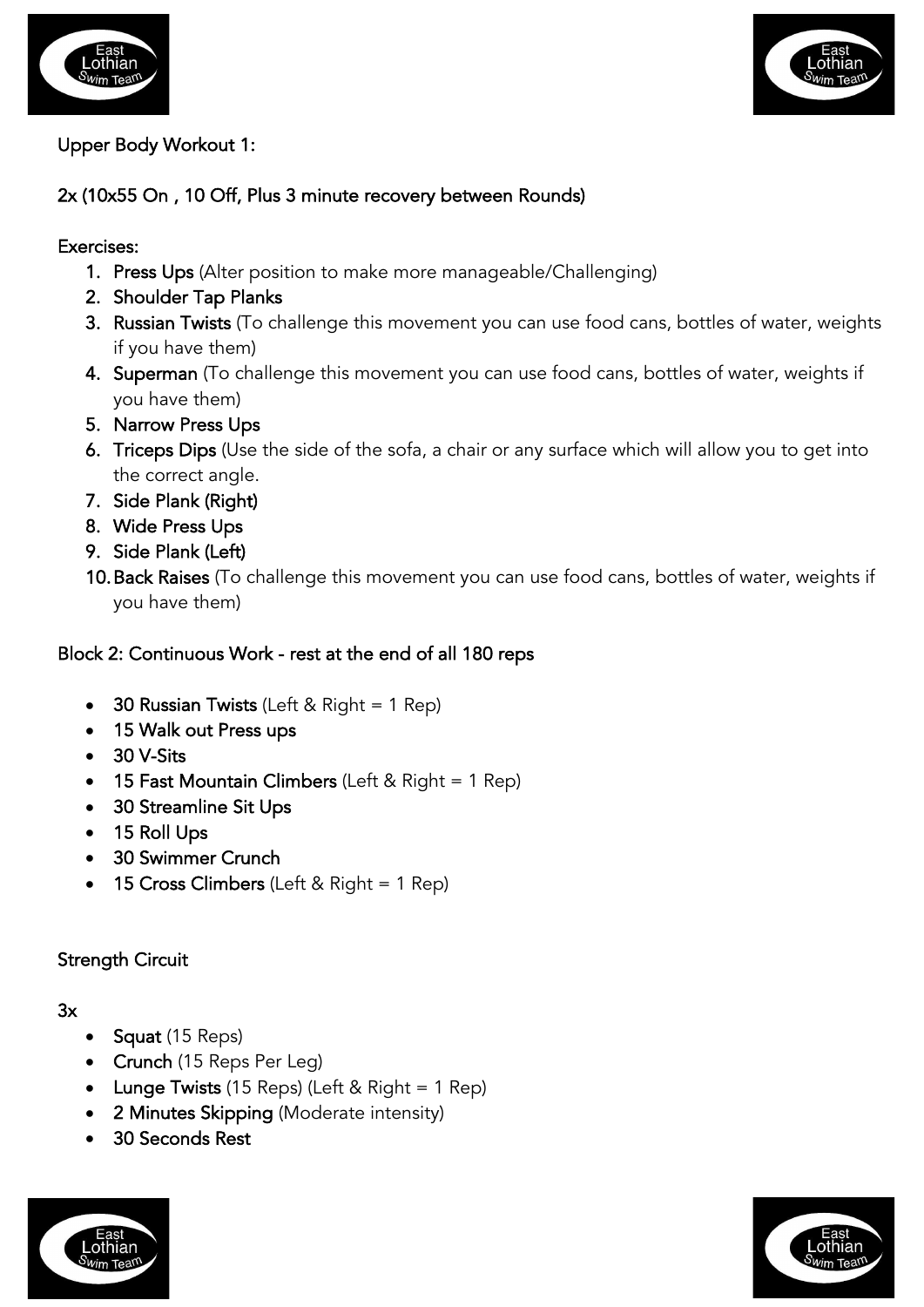



#### Upper Body Workout 1:

## 2x (10x55 On , 10 Off, Plus 3 minute recovery between Rounds)

#### Exercises:

- 1. Press Ups (Alter position to make more manageable/Challenging)
- 2. Shoulder Tap Planks
- 3. Russian Twists (To challenge this movement you can use food cans, bottles of water, weights if you have them)
- 4. Superman (To challenge this movement you can use food cans, bottles of water, weights if you have them)
- 5. Narrow Press Ups
- 6. Triceps Dips (Use the side of the sofa, a chair or any surface which will allow you to get into the correct angle.
- 7. Side Plank (Right)
- 8. Wide Press Ups
- 9. Side Plank (Left)
- 10.Back Raises (To challenge this movement you can use food cans, bottles of water, weights if you have them)

## Block 2: Continuous Work - rest at the end of all 180 reps

- 30 Russian Twists (Left & Right = 1 Rep)
- 15 Walk out Press ups
- 30 V-Sits
- 15 Fast Mountain Climbers (Left & Right = 1 Rep)
- 30 Streamline Sit Ups
- 15 Roll Ups
- 30 Swimmer Crunch
- 15 Cross Climbers (Left & Right = 1 Rep)

#### Strength Circuit

#### 3x

- **Squat** (15 Reps)
- Crunch (15 Reps Per Leg)
- Lunge Twists (15 Reps) (Left & Right = 1 Rep)
- 2 Minutes Skipping (Moderate intensity)
- 30 Seconds Rest



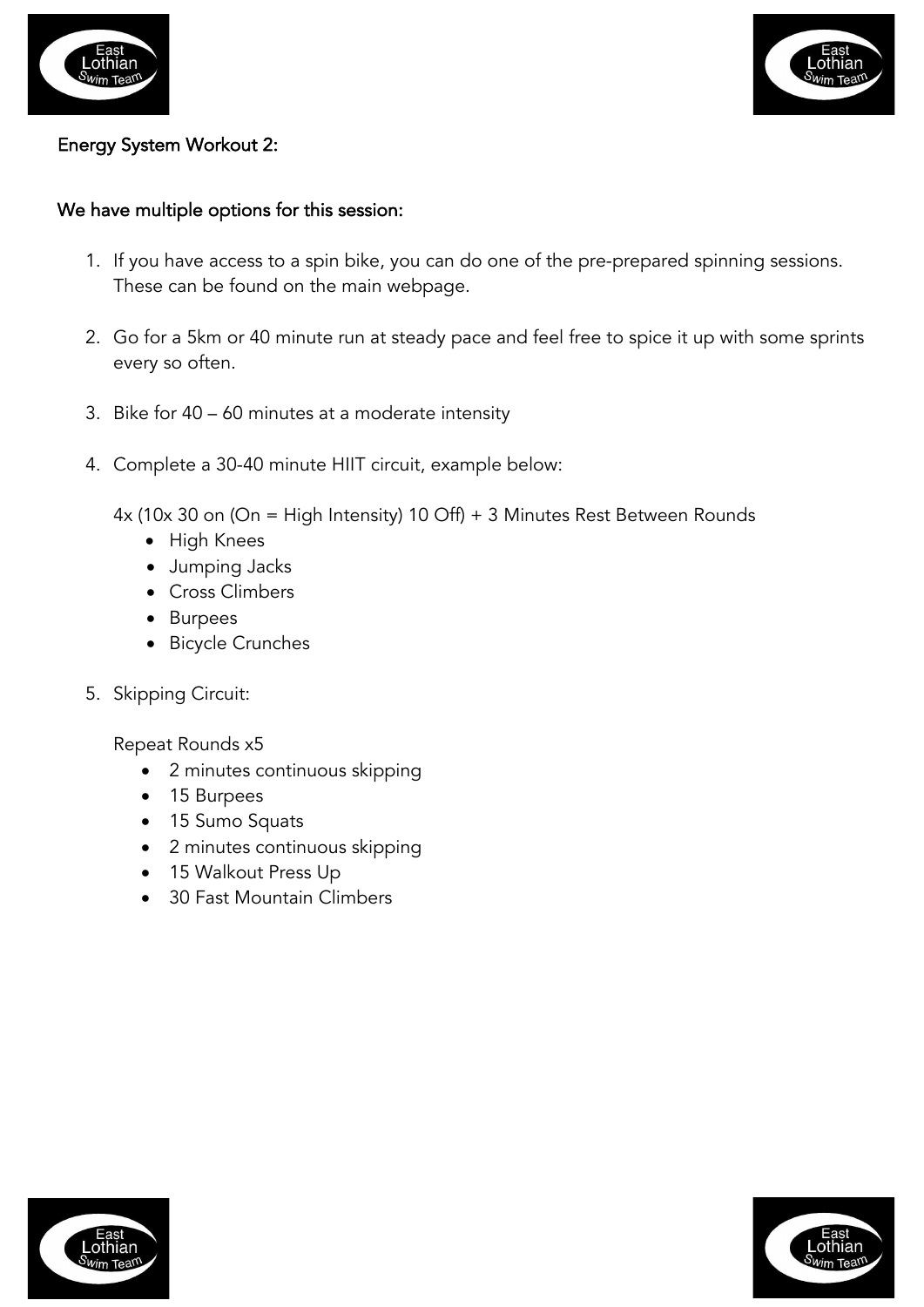



#### Energy System Workout 2:

#### We have multiple options for this session:

- 1. If you have access to a spin bike, you can do one of the pre-prepared spinning sessions. These can be found on the main webpage.
- 2. Go for a 5km or 40 minute run at steady pace and feel free to spice it up with some sprints every so often.
- 3. Bike for 40 60 minutes at a moderate intensity
- 4. Complete a 30-40 minute HIIT circuit, example below:

4x (10x 30 on (On = High Intensity) 10 Off) + 3 Minutes Rest Between Rounds

- High Knees
- Jumping Jacks
- Cross Climbers
- Burpees
- Bicycle Crunches
- 5. Skipping Circuit:

Repeat Rounds x5

- 2 minutes continuous skipping
- 15 Burpees
- 15 Sumo Squats
- 2 minutes continuous skipping
- 15 Walkout Press Up
- 30 Fast Mountain Climbers



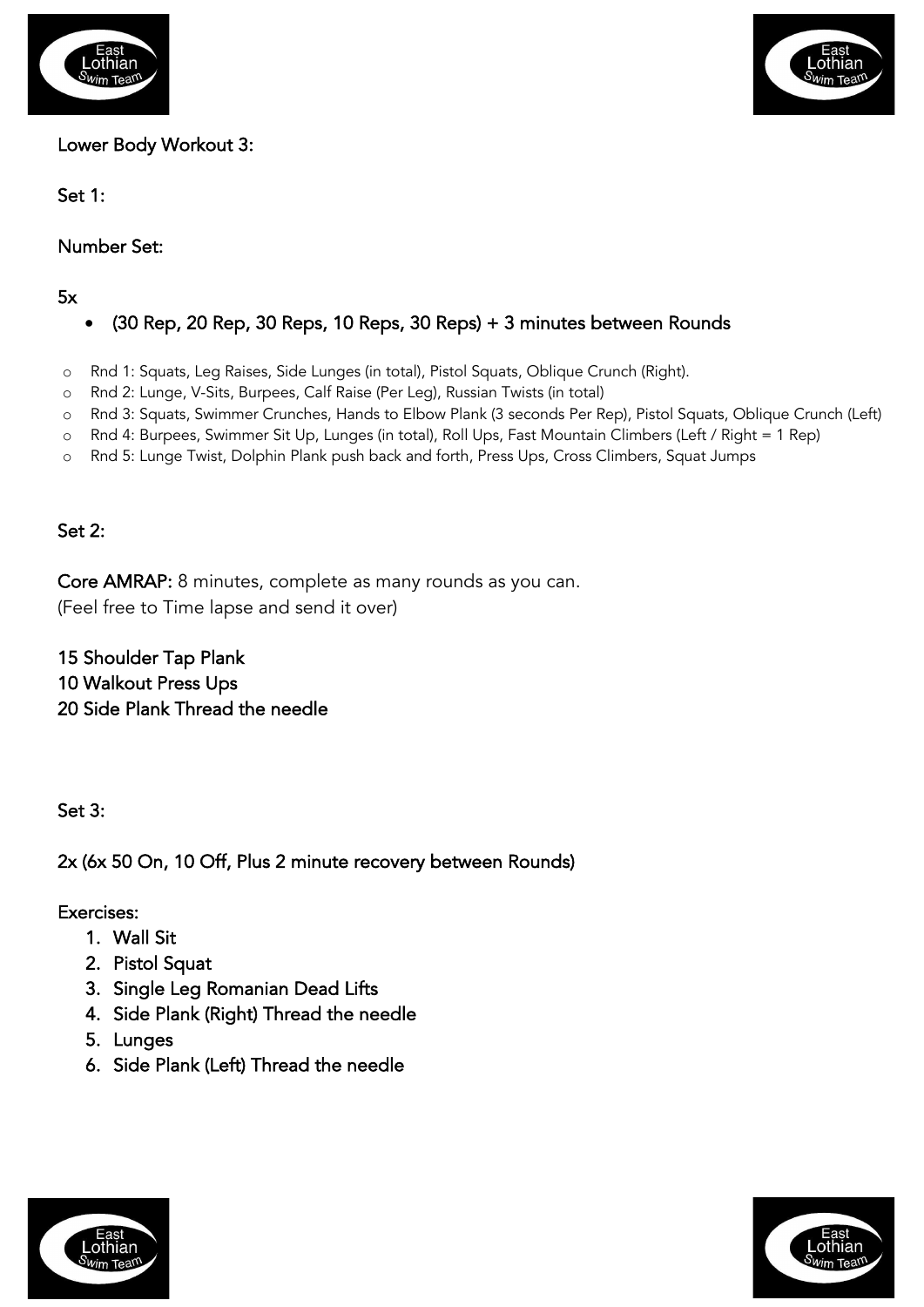



Lower Body Workout 3:

Set 1:

Number Set:

5x

# • (30 Rep, 20 Rep, 30 Reps, 10 Reps, 30 Reps) + 3 minutes between Rounds

- o Rnd 1: Squats, Leg Raises, Side Lunges (in total), Pistol Squats, Oblique Crunch (Right).
- o Rnd 2: Lunge, V-Sits, Burpees, Calf Raise (Per Leg), Russian Twists (in total)
- o Rnd 3: Squats, Swimmer Crunches, Hands to Elbow Plank (3 seconds Per Rep), Pistol Squats, Oblique Crunch (Left)
- o Rnd 4: Burpees, Swimmer Sit Up, Lunges (in total), Roll Ups, Fast Mountain Climbers (Left / Right = 1 Rep)
- o Rnd 5: Lunge Twist, Dolphin Plank push back and forth, Press Ups, Cross Climbers, Squat Jumps

# Set 2:

Core AMRAP: 8 minutes, complete as many rounds as you can. (Feel free to Time lapse and send it over)

15 Shoulder Tap Plank 10 Walkout Press Ups 20 Side Plank Thread the needle

Set 3:

2x (6x 50 On, 10 Off, Plus 2 minute recovery between Rounds)

# Exercises:

- 1. Wall Sit
- 2. Pistol Squat
- 3. Single Leg Romanian Dead Lifts
- 4. Side Plank (Right) Thread the needle
- 5. Lunges
- 6. Side Plank (Left) Thread the needle



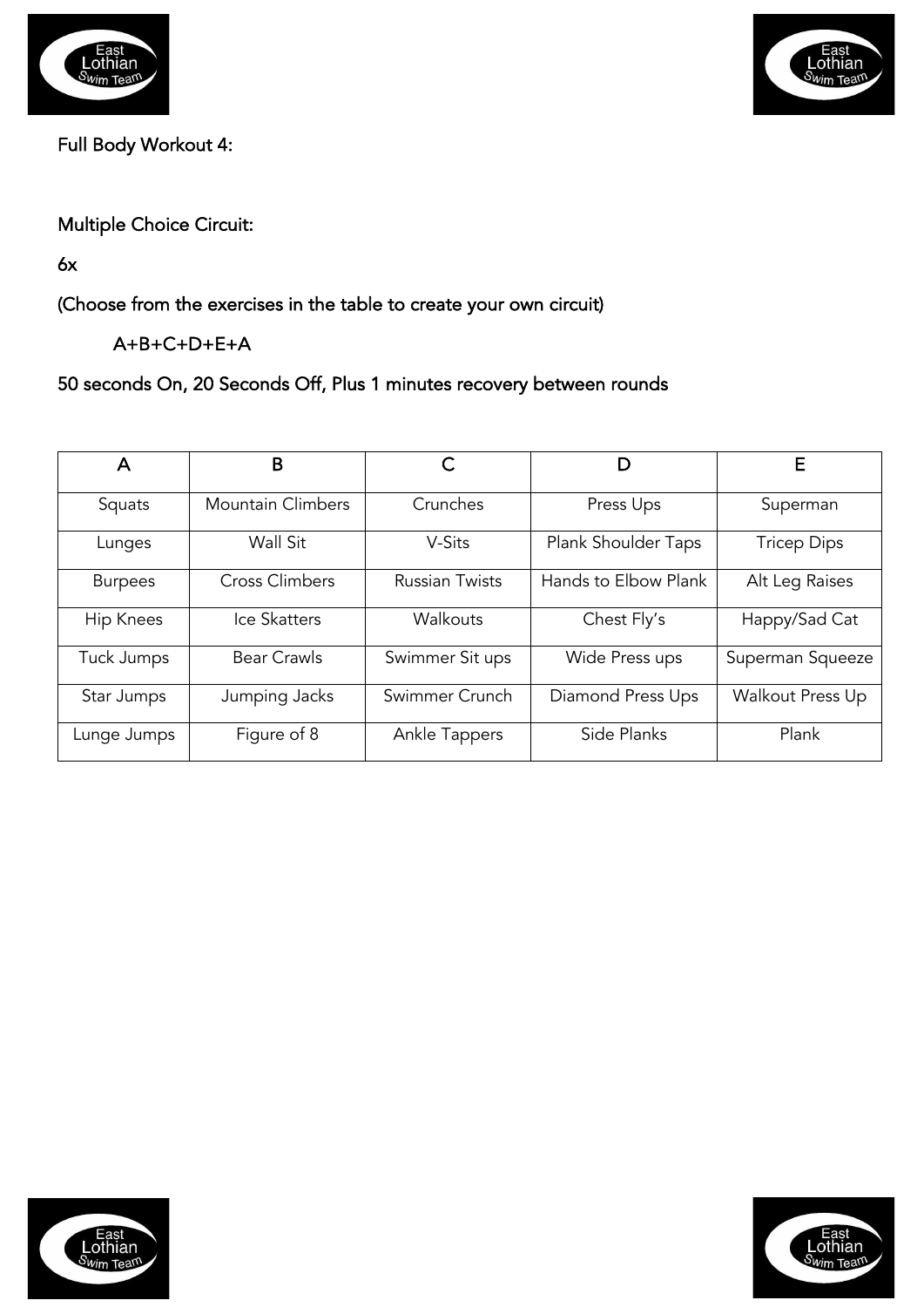



Full Body Workout 4:

Multiple Choice Circuit:

6x

(Choose from the exercises in the table to create your own circuit)

A+B+C+D+E+A

50 seconds On, 20 Seconds Off, Plus 1 minutes recovery between rounds

| A                | B                        |                       | D                    | Е                  |
|------------------|--------------------------|-----------------------|----------------------|--------------------|
| Squats           | <b>Mountain Climbers</b> | Crunches              | Press Ups            | Superman           |
| Lunges           | Wall Sit                 | V-Sits                | Plank Shoulder Taps  | <b>Tricep Dips</b> |
| <b>Burpees</b>   | <b>Cross Climbers</b>    | <b>Russian Twists</b> | Hands to Elbow Plank | Alt Leg Raises     |
| <b>Hip Knees</b> | Ice Skatters             | Walkouts              | Chest Fly's          | Happy/Sad Cat      |
| Tuck Jumps       | <b>Bear Crawls</b>       | Swimmer Sit ups       | Wide Press ups       | Superman Squeeze   |
| Star Jumps       | Jumping Jacks            | Swimmer Crunch        | Diamond Press Ups    | Walkout Press Up   |
| Lunge Jumps      | Figure of 8              | Ankle Tappers         | Side Planks          | Plank              |



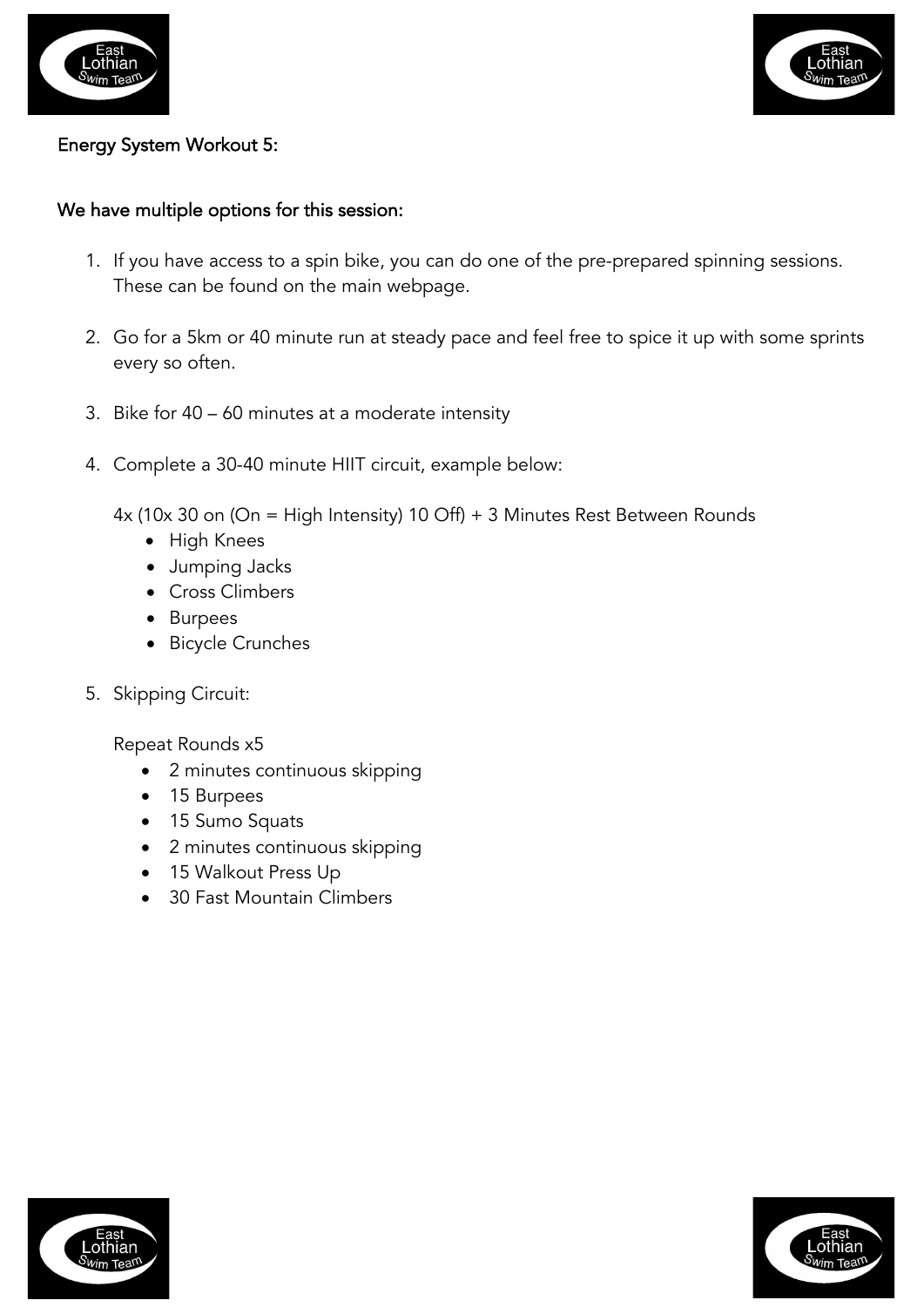



#### Energy System Workout 5:

#### We have multiple options for this session:

- 1. If you have access to a spin bike, you can do one of the pre-prepared spinning sessions. These can be found on the main webpage.
- 2. Go for a 5km or 40 minute run at steady pace and feel free to spice it up with some sprints every so often.
- 3. Bike for 40 60 minutes at a moderate intensity
- 4. Complete a 30-40 minute HIIT circuit, example below:

4x (10x 30 on (On = High Intensity) 10 Off) + 3 Minutes Rest Between Rounds

- High Knees
- Jumping Jacks
- Cross Climbers
- Burpees
- Bicycle Crunches
- 5. Skipping Circuit:

Repeat Rounds x5

- 2 minutes continuous skipping
- 15 Burpees
- 15 Sumo Squats
- 2 minutes continuous skipping
- 15 Walkout Press Up
- 30 Fast Mountain Climbers